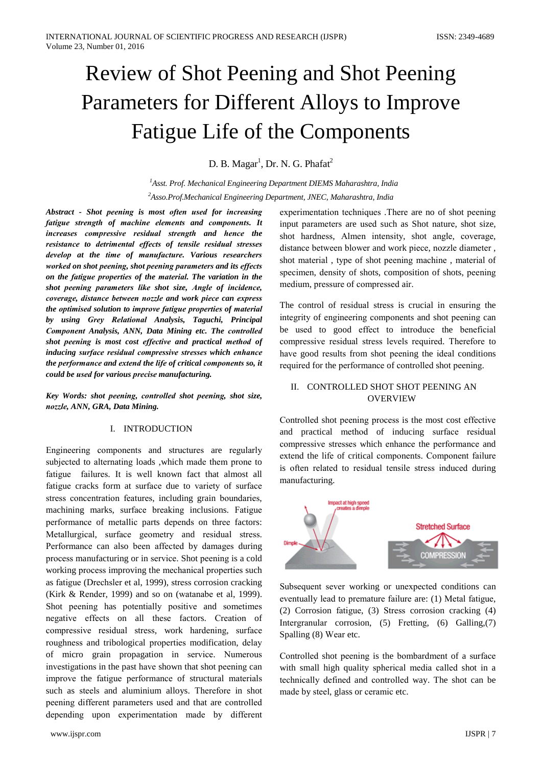# **Review of Shot Peening and Shot Peening Parameters for Different Alloys to Improve Fatigue Life of the Components**

D. B. Magar<sup>1</sup>, Dr. N. G. Phafat<sup>2</sup>

<sup>1</sup>Asst. Prof. Mechanical Engineering Department DIEMS Maharashtra, India <sup>2</sup>Asso.Prof.Mechanical Engineering Department, JNEC, Maharashtra, India

Abstract - Shot peening is most often used for increasing fatigue strength of machine elements and components. It increases compressive residual strength and hence the resistance to detrimental effects of tensile residual stresses develop at the time of manufacture. Various researchers worked on shot peening, shot peening parameters and its effects on the fatigue properties of the material. The variation in the shot peening parameters like shot size, Angle of incidence, coverage, distance between nozzle and work piece can express the optimised solution to improve fatigue properties of material by using Grey Relational Analysis, Taguchi, Principal Component Analysis, ANN, Data Mining etc. The controlled shot peening is most cost effective and practical method of inducing surface residual compressive stresses which enhance the performance and extend the life of critical components so, it could be used for various precise manufacturing.

Key Words: shot peening, controlled shot peening, shot size, nozzle, ANN, GRA, Data Mining.

# I. INTRODUCTION

Engineering components and structures are regularly subjected to alternating loads ,which made them prone to fatigue failures. It is well known fact that almost all fatigue cracks form at surface due to variety of surface stress concentration features, including grain boundaries, machining marks, surface breaking inclusions. Fatigue performance of metallic parts depends on three factors: Metallurgical, surface geometry and residual stress. Performance can also been affected by damages during process manufacturing or in service. Shot peening is a cold working process improving the mechanical properties such as fatigue (Drechsler et al, 1999), stress corrosion cracking (Kirk & Render, 1999) and so on (watanabe et al, 1999). Shot peening has potentially positive and sometimes negative effects on all these factors. Creation of compressive residual stress, work hardening, surface roughness and tribological properties modification, delay of micro grain propagation in service. Numerous investigations in the past have shown that shot peening can improve the fatigue performance of structural materials such as steels and aluminium alloys. Therefore in shot peening different parameters used and that are controlled depending upon experimentation made by different

experimentation techniques. There are no of shot peening input parameters are used such as Shot nature, shot size, shot hardness, Almen intensity, shot angle, coverage, distance between blower and work piece, nozzle diameter, shot material, type of shot peening machine, material of specimen, density of shots, composition of shots, peening medium, pressure of compressed air.

The control of residual stress is crucial in ensuring the integrity of engineering components and shot peening can be used to good effect to introduce the beneficial compressive residual stress levels required. Therefore to have good results from shot peening the ideal conditions required for the performance of controlled shot peening.

# **IL CONTROLLED SHOT SHOT PEENING AN OVERVIEW**

Controlled shot peening process is the most cost effective and practical method of inducing surface residual compressive stresses which enhance the performance and extend the life of critical components. Component failure is often related to residual tensile stress induced during manufacturing.



Subsequent sever working or unexpected conditions can eventually lead to premature failure are: (1) Metal fatigue, (2) Corrosion fatigue, (3) Stress corrosion cracking (4) Intergranular corrosion,  $(5)$  Fretting,  $(6)$  Galling,  $(7)$ Spalling (8) Wear etc.

Controlled shot peening is the bombardment of a surface with small high quality spherical media called shot in a technically defined and controlled way. The shot can be made by steel, glass or ceramic etc.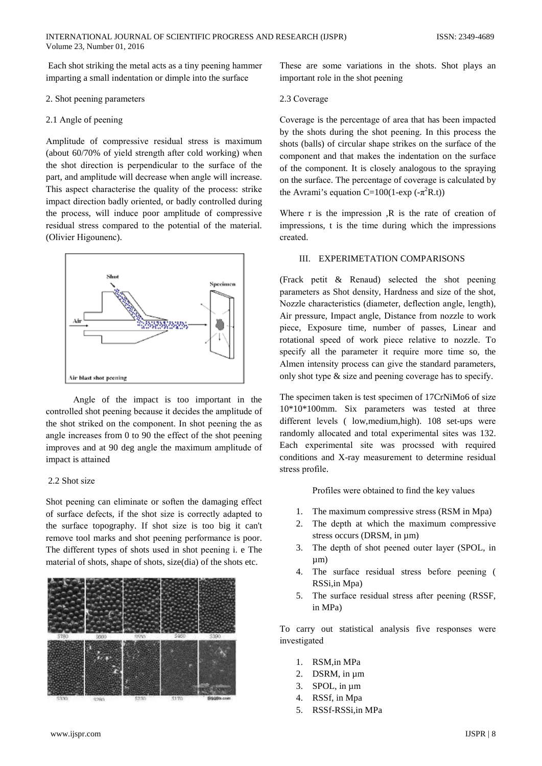Each shot striking the metal acts as a tiny peening hammer imparting a small indentation or dimple into the surface

#### 2. Shot peening parameters

#### 2.1 Angle of peening

Amplitude of compressive residual stress is maximum (about 60/70% of yield strength after cold working) when the shot direction is perpendicular to the surface of the part, and amplitude will decrease when angle will increase. This aspect characterise the quality of the process: strike impact direction badly oriented, or badly controlled during the process, will induce poor amplitude of compressive residual stress compared to the potential of the material. (Olivier Higounenc).



Angle of the impact is too important in the controlled shot peening because it decides the amplitude of the shot striked on the component. In shot peening the as angle increases from 0 to 90 the effect of the shot peening improves and at 90 deg angle the maximum amplitude of impact is attained

# 2.2 Shot size

Shot peening can eliminate or soften the damaging effect of surface defects, if the shot size is correctly adapted to the surface topography. If shot size is too big it can't remove tool marks and shot peening performance is poor. The different types of shots used in shot peening i. e The material of shots, shape of shots, size(dia) of the shots etc.



These are some variations in the shots. Shot plays an important role in the shot peening

#### 2.3 Coverage

Coverage is the percentage of area that has been impacted by the shots during the shot peening. In this process the shots (balls) of circular shape strikes on the surface of the component and that makes the indentation on the surface of the component. It is closely analogous to the spraying on the surface. The percentage of coverage is calculated by the Avrami's equation C=100(1-exp  $(-\pi^2 R.t)$ )

Where  $r$  is the impression  $R$  is the rate of creation of impressions, t is the time during which the impressions created.

# **III. EXPERIMETATION COMPARISONS**

(Frack petit & Renaud) selected the shot peening parameters as Shot density, Hardness and size of the shot, Nozzle characteristics (diameter, deflection angle, length), Air pressure, Impact angle, Distance from nozzle to work piece, Exposure time, number of passes, Linear and rotational speed of work piece relative to nozzle. To specify all the parameter it require more time so, the Almen intensity process can give the standard parameters, only shot type & size and peening coverage has to specify.

The specimen taken is test specimen of 17CrNiMo6 of size 10\*10\*100mm. Six parameters was tested at three different levels (low, medium, high). 108 set-ups were randomly allocated and total experimental sites was 132. Each experimental site was procssed with required conditions and X-ray measurement to determine residual stress profile.

Profiles were obtained to find the key values

- 1. The maximum compressive stress (RSM in Mpa)
- 2. The depth at which the maximum compressive stress occurs (DRSM, in  $\mu$ m)
- 3. The depth of shot peened outer layer (SPOL, in  $\mu$ m)
- 4. The surface residual stress before peening ( RSSi, in Mpa)
- 5. The surface residual stress after peening (RSSF, in MPa)

To carry out statistical analysis five responses were investigated

- 1. RSM, in MPa
- 2. DSRM. in um
- 3. SPOL, in um
- 4. RSSf, in Mpa
- 5. RSSf-RSSi.in MPa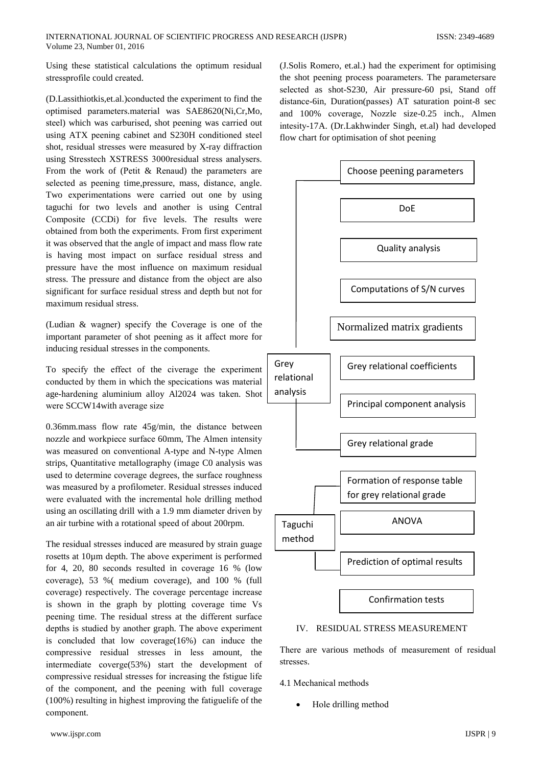Using these statistical calculations the optimum residual stressprofile could created.

(D.Lassithiotkis, et.al.) conducted the experiment to find the optimised parameters.material was SAE8620(Ni,Cr,Mo, steel) which was carburised, shot peening was carried out using ATX peening cabinet and S230H conditioned steel shot, residual stresses were measured by X-ray diffraction using Stresstech XSTRESS 3000residual stress analysers. From the work of (Petit  $&$  Renaud) the parameters are selected as peening time, pressure, mass, distance, angle. Two experimentations were carried out one by using taguchi for two levels and another is using Central Composite (CCDi) for five levels. The results were obtained from both the experiments. From first experiment it was observed that the angle of impact and mass flow rate is having most impact on surface residual stress and pressure have the most influence on maximum residual stress. The pressure and distance from the object are also significant for surface residual stress and depth but not for maximum residual stress.

(Ludian & wagner) specify the Coverage is one of the important parameter of shot peening as it affect more for inducing residual stresses in the components.

To specify the effect of the civerage the experiment conducted by them in which the specications was material age-hardening aluminium alloy Al2024 was taken. Shot were SCCW14with average size

0.36mm.mass flow rate  $45g/min$ , the distance between nozzle and workpiece surface 60mm, The Almen intensity was measured on conventional A-type and N-type Almen strips, Quantitative metallography (image C0 analysis was used to determine coverage degrees, the surface roughness was measured by a profilometer. Residual stresses induced were evaluated with the incremental hole drilling method using an oscillating drill with a 1.9 mm diameter driven by an air turbine with a rotational speed of about 200rpm.

The residual stresses induced are measured by strain guage rosetts at 10um depth. The above experiment is performed for 4, 20, 80 seconds resulted in coverage 16 % (low coverage), 53 %(medium coverage), and 100 % (full coverage) respectively. The coverage percentage increase is shown in the graph by plotting coverage time Vs peening time. The residual stress at the different surface depths is studied by another graph. The above experiment is concluded that low coverage $(16\%)$  can induce the compressive residual stresses in less amount, the intermediate coverge(53%) start the development of compressive residual stresses for increasing the fstigue life of the component, and the peening with full coverage (100%) resulting in highest improving the fatiguelife of the component.

(J.Solis Romero, et.al.) had the experiment for optimising the shot peening process poarameters. The parametersare selected as shot-S230, Air pressure-60 psi, Stand off distance-6in, Duration(passes) AT saturation point-8 sec and 100% coverage, Nozzle size-0.25 inch., Almen intesity-17A. (Dr.Lakhwinder Singh, et.al) had developed flow chart for optimisation of shot peening



# IV. RESIDUAL STRESS MEASUREMENT

There are various methods of measurement of residual stresses

# 4.1 Mechanical methods

Hole drilling method